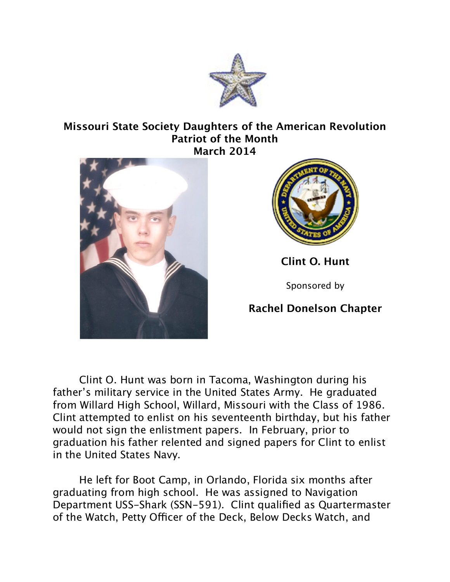

## **Missouri State Society Daughters of the American Revolution Patriot of the Month March 2014**





**Clint O. Hunt**

Sponsored by

## **Rachel Donelson Chapter**

Clint O. Hunt was born in Tacoma, Washington during his father's military service in the United States Army. He graduated from Willard High School, Willard, Missouri with the Class of 1986. Clint attempted to enlist on his seventeenth birthday, but his father would not sign the enlistment papers. In February, prior to graduation his father relented and signed papers for Clint to enlist in the United States Navy.

He left for Boot Camp, in Orlando, Florida six months after graduating from high school. He was assigned to Navigation Department USS-Shark (SSN-591). Clint qualified as Quartermaster of the Watch, Petty Officer of the Deck, Below Decks Watch, and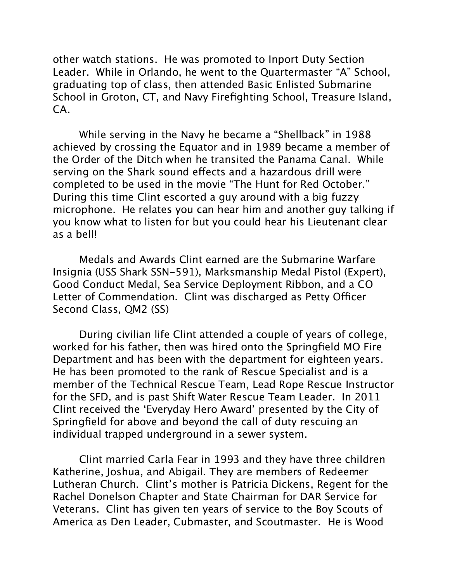other watch stations. He was promoted to Inport Duty Section Leader. While in Orlando, he went to the Quartermaster "A" School, graduating top of class, then attended Basic Enlisted Submarine School in Groton, CT, and Navy Firefighting School, Treasure Island, CA.

While serving in the Navy he became a "Shellback" in 1988 achieved by crossing the Equator and in 1989 became a member of the Order of the Ditch when he transited the Panama Canal. While serving on the Shark sound efects and a hazardous drill were completed to be used in the movie "The Hunt for Red October." During this time Clint escorted a guy around with a big fuzzy microphone. He relates you can hear him and another guy talking if you know what to listen for but you could hear his Lieutenant clear as a bell!

Medals and Awards Clint earned are the Submarine Warfare Insignia (USS Shark SSN-591), Marksmanship Medal Pistol (Expert), Good Conduct Medal, Sea Service Deployment Ribbon, and a CO Letter of Commendation. Clint was discharged as Petty Officer Second Class, QM2 (SS)

During civilian life Clint attended a couple of years of college, worked for his father, then was hired onto the Springfield MO Fire Department and has been with the department for eighteen years. He has been promoted to the rank of Rescue Specialist and is a member of the Technical Rescue Team, Lead Rope Rescue Instructor for the SFD, and is past Shift Water Rescue Team Leader. In 2011 Clint received the 'Everyday Hero Award' presented by the City of Springfield for above and beyond the call of duty rescuing an individual trapped underground in a sewer system.

Clint married Carla Fear in 1993 and they have three children Katherine, Joshua, and Abigail. They are members of Redeemer Lutheran Church. Clint's mother is Patricia Dickens, Regent for the Rachel Donelson Chapter and State Chairman for DAR Service for Veterans. Clint has given ten years of service to the Boy Scouts of America as Den Leader, Cubmaster, and Scoutmaster. He is Wood